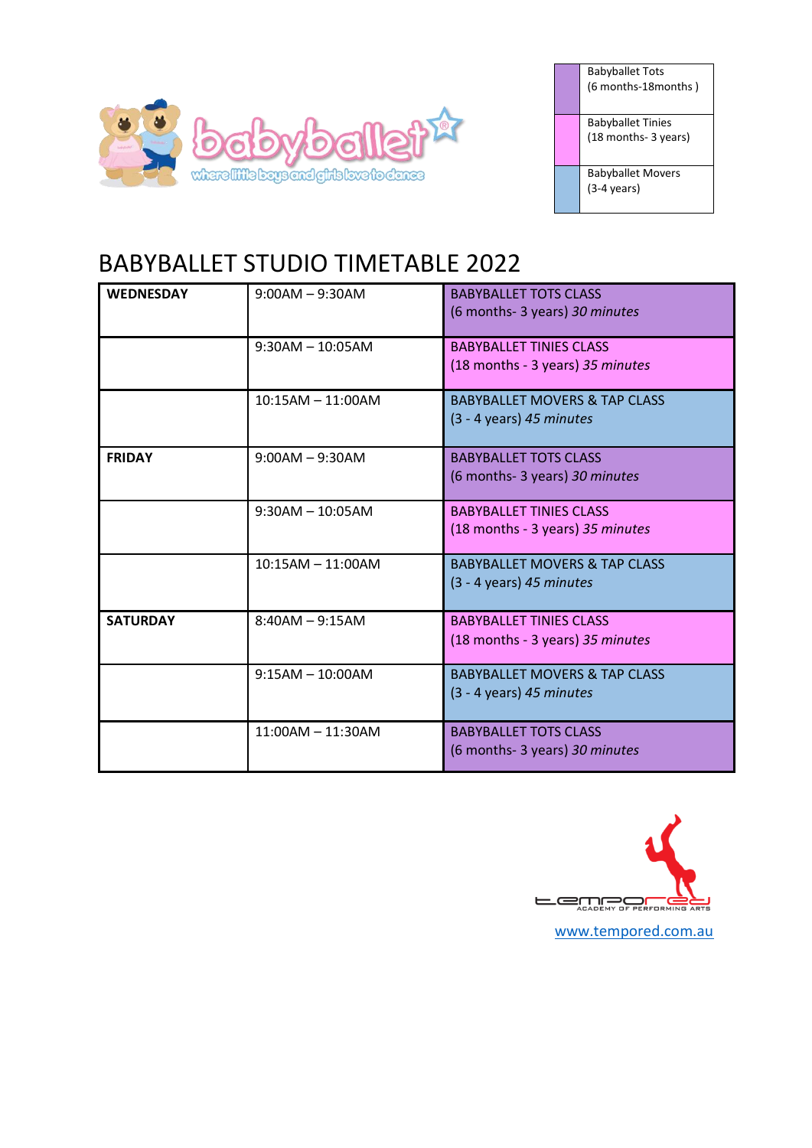

| <b>Babyballet Tots</b><br>(6 months-18 months)   |
|--------------------------------------------------|
| <b>Babyballet Tinies</b><br>(18 months- 3 years) |
| <b>Babyballet Movers</b>                         |

(3-4 years)

## BABYBALLET STUDIO TIMETABLE 2022

| <b>WEDNESDAY</b> | $9:00AM - 9:30AM$   | <b>BABYBALLET TOTS CLASS</b><br>(6 months- 3 years) 30 minutes         |
|------------------|---------------------|------------------------------------------------------------------------|
|                  | $9:30AM - 10:05AM$  | <b>BABYBALLET TINIES CLASS</b><br>(18 months - 3 years) 35 minutes     |
|                  | $10:15AM - 11:00AM$ | <b>BABYBALLET MOVERS &amp; TAP CLASS</b><br>$(3 - 4$ years) 45 minutes |
| <b>FRIDAY</b>    | $9:00AM - 9:30AM$   | <b>BABYBALLET TOTS CLASS</b><br>(6 months- 3 years) 30 minutes         |
|                  | $9:30AM - 10:05AM$  | <b>BABYBALLET TINIES CLASS</b><br>(18 months - 3 years) 35 minutes     |
|                  | $10:15AM - 11:00AM$ | <b>BABYBALLET MOVERS &amp; TAP CLASS</b><br>$(3 - 4$ years) 45 minutes |
| <b>SATURDAY</b>  | $8:40AM - 9:15AM$   | <b>BABYBALLET TINIES CLASS</b><br>(18 months - 3 years) 35 minutes     |
|                  | $9:15AM - 10:00AM$  | <b>BABYBALLET MOVERS &amp; TAP CLASS</b><br>$(3 - 4$ years) 45 minutes |
|                  | $11:00AM - 11:30AM$ | <b>BABYBALLET TOTS CLASS</b><br>(6 months- 3 years) 30 minutes         |